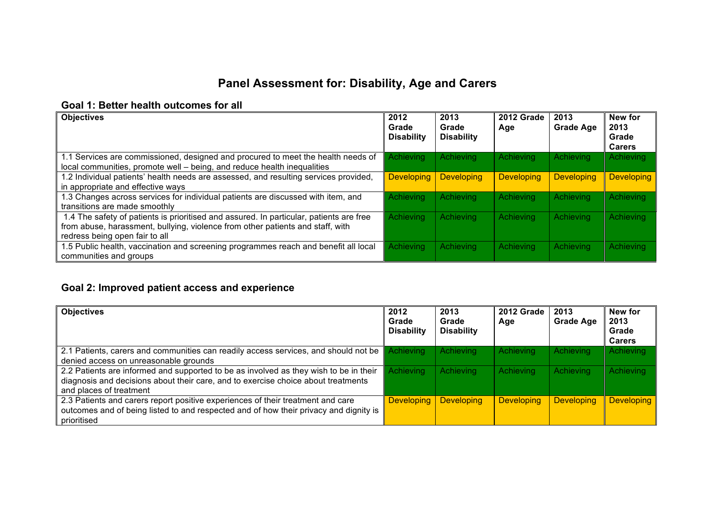# **Panel Assessment for: Disability, Age and Carers**

#### **Goal 1: Better health outcomes for all**

| <b>Objectives</b>                                                                                                                                                                                           | 2012<br>Grade<br><b>Disability</b> | 2013<br>Grade<br><b>Disability</b> | 2012 Grade<br>Age | 2013<br><b>Grade Age</b> | New for<br>2013<br>Grade<br><b>Carers</b> |
|-------------------------------------------------------------------------------------------------------------------------------------------------------------------------------------------------------------|------------------------------------|------------------------------------|-------------------|--------------------------|-------------------------------------------|
| 1.1 Services are commissioned, designed and procured to meet the health needs of<br>local communities, promote well - being, and reduce health inequalities                                                 | <b>Achieving</b>                   | <b>Achieving</b>                   | Achieving         | Achieving                | Achieving                                 |
| 1.2 Individual patients' health needs are assessed, and resulting services provided,<br>in appropriate and effective ways                                                                                   | <b>Developing</b>                  | <b>Developing</b>                  | <b>Developing</b> | <b>Developing</b>        | <b>Developing</b>                         |
| 1.3 Changes across services for individual patients are discussed with item, and<br>transitions are made smoothly                                                                                           | Achieving                          | <b>Achieving</b>                   | Achieving         | <b>Achieving</b>         | Achieving                                 |
| 1.4 The safety of patients is prioritised and assured. In particular, patients are free<br>from abuse, harassment, bullying, violence from other patients and staff, with<br>redress being open fair to all | Achieving                          | <b>Achieving</b>                   | Achieving         | Achieving                | Achieving                                 |
| 1.5 Public health, vaccination and screening programmes reach and benefit all local<br>communities and groups                                                                                               | Achieving                          | <b>Achieving</b>                   | Achieving         | Achieving                | Achieving                                 |

## **Goal 2: Improved patient access and experience**

| <b>Objectives</b>                                                                                                                                                                                     | 2012<br>Grade<br><b>Disability</b> | 2013<br>Grade<br><b>Disability</b> | $\sqrt{2012}$ Grade<br>Age | 2013<br><b>Grade Age</b> | New for<br>2013<br>Grade<br><b>Carers</b> |
|-------------------------------------------------------------------------------------------------------------------------------------------------------------------------------------------------------|------------------------------------|------------------------------------|----------------------------|--------------------------|-------------------------------------------|
| 2.1 Patients, carers and communities can readily access services, and should not be<br>denied access on unreasonable grounds                                                                          | Achievina                          | Achieving                          | Achieving                  | Achieving                | Achieving                                 |
| 2.2 Patients are informed and supported to be as involved as they wish to be in their<br>diagnosis and decisions about their care, and to exercise choice about treatments<br>and places of treatment | Achieving                          | Achieving                          | Achieving                  | Achieving                | Achieving                                 |
| 2.3 Patients and carers report positive experiences of their treatment and care<br>outcomes and of being listed to and respected and of how their privacy and dignity is<br>prioritised               | <b>Developing</b>                  | <b>Developing</b>                  | <b>Developing</b>          | <b>Developing</b>        | <b>Developing</b>                         |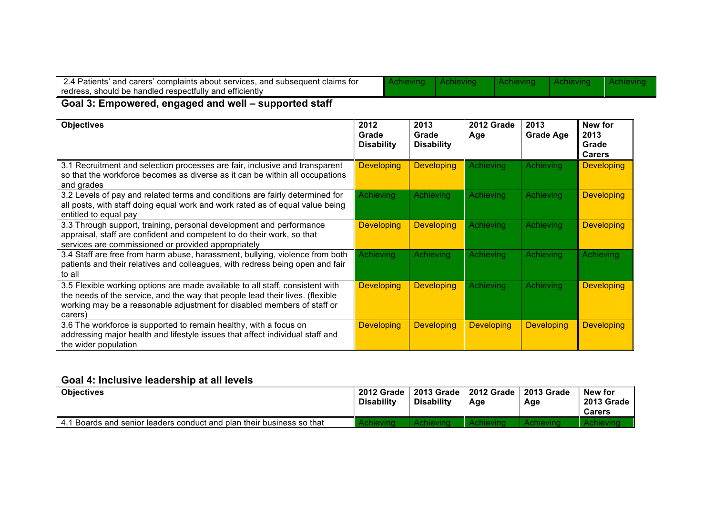| $^\circ$ and carers' complaints about services. and subsequent claims for $^\circ$<br>2.4 Patients′ |  |  |
|-----------------------------------------------------------------------------------------------------|--|--|
| should be handled respectfully and efficiently should be handled respectfully<br>redress.           |  |  |

Achieving

#### **Goal 3: Empowered, engaged and well – supported staff**

| <b>Objectives</b>                                                                                                                                                                                                                                    | 2012<br>Grade<br><b>Disability</b> | 2013<br>Grade<br><b>Disability</b> | <b>2012 Grade</b><br>Age | 2013<br><b>Grade Age</b> | New for<br>2013<br>Grade<br><b>Carers</b> |
|------------------------------------------------------------------------------------------------------------------------------------------------------------------------------------------------------------------------------------------------------|------------------------------------|------------------------------------|--------------------------|--------------------------|-------------------------------------------|
| 3.1 Recruitment and selection processes are fair, inclusive and transparent<br>so that the workforce becomes as diverse as it can be within all occupations<br>and grades                                                                            | <b>Developing</b>                  | <b>Developing</b>                  | <b>Achieving</b>         | <b>Achieving</b>         | <b>Developing</b>                         |
| 3.2 Levels of pay and related terms and conditions are fairly determined for<br>all posts, with staff doing equal work and work rated as of equal value being<br>entitled to equal pay                                                               | Achieving                          | Achieving                          | <b>Achieving</b>         | <b>Achieving</b>         | <b>Developing</b>                         |
| 3.3 Through support, training, personal development and performance<br>appraisal, staff are confident and competent to do their work, so that<br>services are commissioned or provided appropriately                                                 | <b>Developing</b>                  | <b>Developing</b>                  | <b>Achieving</b>         | <b>Achieving</b>         | <b>Developing</b>                         |
| 3.4 Staff are free from harm abuse, harassment, bullying, violence from both<br>patients and their relatives and colleagues, with redress being open and fair<br>to all                                                                              | Achieving                          | <b>Achieving</b>                   | Achieving                | Achieving                | Achieving                                 |
| 3.5 Flexible working options are made available to all staff, consistent with<br>the needs of the service, and the way that people lead their lives. (flexible<br>working may be a reasonable adjustment for disabled members of staff or<br>carers) | <b>Developing</b>                  | <b>Developing</b>                  | Achieving                | Achieving                | <b>Developing</b>                         |
| 3.6 The workforce is supported to remain healthy, with a focus on<br>addressing major health and lifestyle issues that affect individual staff and<br>the wider population                                                                           | <b>Developing</b>                  | <b>Developing</b>                  | <b>Developing</b>        | <b>Developing</b>        | <b>Developing</b>                         |

## **Goal 4: Inclusive leadership at all levels**

| <b>Objectives</b>                                                     | 2012 Grade<br><b>Disability</b> | 2013 Grade<br><b>Disability</b> | 2012 Grade<br>Age | 2013 Grade<br>Age | New for<br><b>2013 Grade</b><br><b>Carers</b> |
|-----------------------------------------------------------------------|---------------------------------|---------------------------------|-------------------|-------------------|-----------------------------------------------|
| 4.1 Boards and senior leaders conduct and plan their business so that |                                 |                                 |                   |                   |                                               |